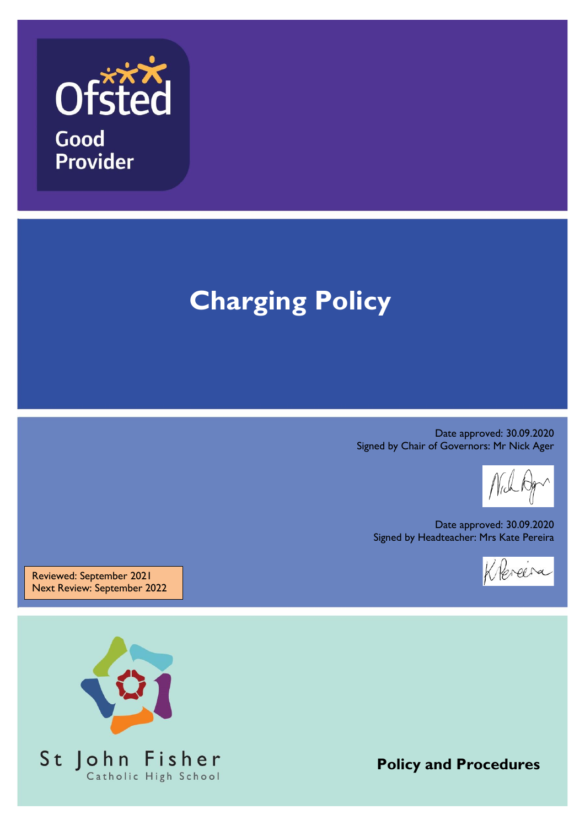

# **Charging Policy**

Date approved: 30.09.2020 Signed by Chair of Governors: Mr Nick Ager

Date approved: 30.09.2020 Signed by Headteacher: Mrs Kate Pereira

Klereira

Reviewed: September 2021 Next Review: September 2022



**Policy and Procedures**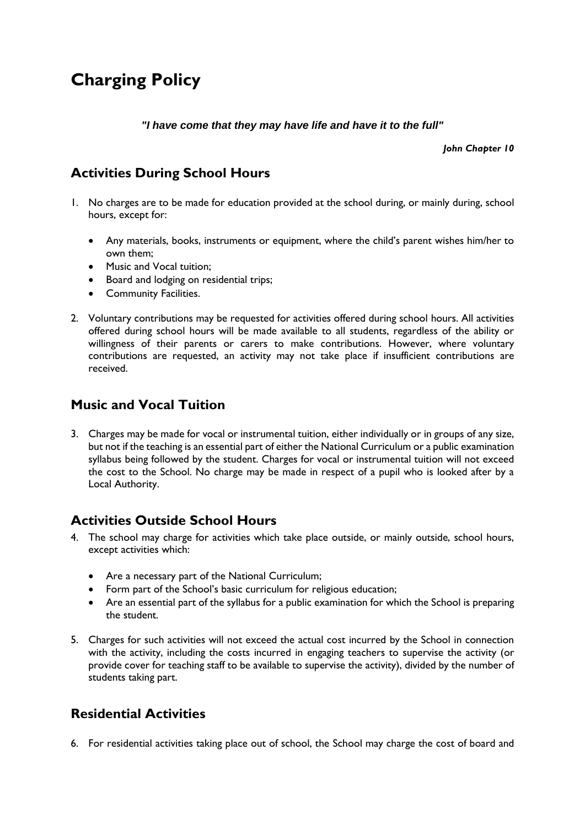# **Charging Policy**

*"I have come that they may have life and have it to the full"*

*John Chapter 10*

# **Activities During School Hours**

- 1. No charges are to be made for education provided at the school during, or mainly during, school hours, except for:
	- Any materials, books, instruments or equipment, where the child's parent wishes him/her to own them;
	- Music and Vocal tuition:
	- Board and lodging on residential trips;
	- Community Facilities.
- 2. Voluntary contributions may be requested for activities offered during school hours. All activities offered during school hours will be made available to all students, regardless of the ability or willingness of their parents or carers to make contributions. However, where voluntary contributions are requested, an activity may not take place if insufficient contributions are received.

## **Music and Vocal Tuition**

3. Charges may be made for vocal or instrumental tuition, either individually or in groups of any size, but not if the teaching is an essential part of either the National Curriculum or a public examination syllabus being followed by the student. Charges for vocal or instrumental tuition will not exceed the cost to the School. No charge may be made in respect of a pupil who is looked after by a Local Authority.

#### **Activities Outside School Hours**

- 4. The school may charge for activities which take place outside, or mainly outside, school hours, except activities which:
	- Are a necessary part of the National Curriculum;
	- Form part of the School's basic curriculum for religious education;
	- Are an essential part of the syllabus for a public examination for which the School is preparing the student.
- 5. Charges for such activities will not exceed the actual cost incurred by the School in connection with the activity, including the costs incurred in engaging teachers to supervise the activity (or provide cover for teaching staff to be available to supervise the activity), divided by the number of students taking part.

## **Residential Activities**

6. For residential activities taking place out of school, the School may charge the cost of board and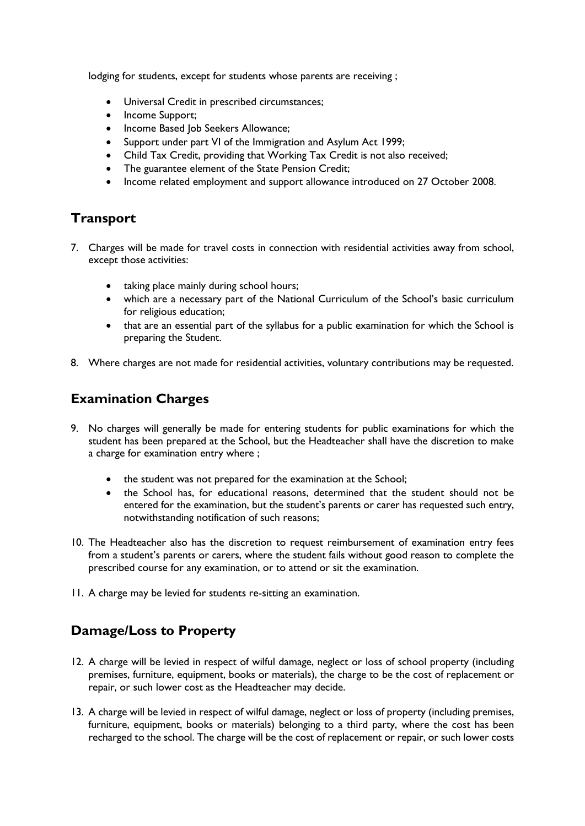lodging for students, except for students whose parents are receiving ;

- Universal Credit in prescribed circumstances;
- Income Support:
- Income Based Job Seekers Allowance;
- Support under part VI of the Immigration and Asylum Act 1999;
- Child Tax Credit, providing that Working Tax Credit is not also received;
- The guarantee element of the State Pension Credit;
- Income related employment and support allowance introduced on 27 October 2008.

#### **Transport**

- 7. Charges will be made for travel costs in connection with residential activities away from school, except those activities:
	- taking place mainly during school hours;
	- which are a necessary part of the National Curriculum of the School's basic curriculum for religious education;
	- that are an essential part of the syllabus for a public examination for which the School is preparing the Student.
- 8. Where charges are not made for residential activities, voluntary contributions may be requested.

## **Examination Charges**

- 9. No charges will generally be made for entering students for public examinations for which the student has been prepared at the School, but the Headteacher shall have the discretion to make a charge for examination entry where ;
	- the student was not prepared for the examination at the School;
	- the School has, for educational reasons, determined that the student should not be entered for the examination, but the student's parents or carer has requested such entry, notwithstanding notification of such reasons;
- 10. The Headteacher also has the discretion to request reimbursement of examination entry fees from a student's parents or carers, where the student fails without good reason to complete the prescribed course for any examination, or to attend or sit the examination.
- 11. A charge may be levied for students re-sitting an examination.

## **Damage/Loss to Property**

- 12. A charge will be levied in respect of wilful damage, neglect or loss of school property (including premises, furniture, equipment, books or materials), the charge to be the cost of replacement or repair, or such lower cost as the Headteacher may decide.
- 13. A charge will be levied in respect of wilful damage, neglect or loss of property (including premises, furniture, equipment, books or materials) belonging to a third party, where the cost has been recharged to the school. The charge will be the cost of replacement or repair, or such lower costs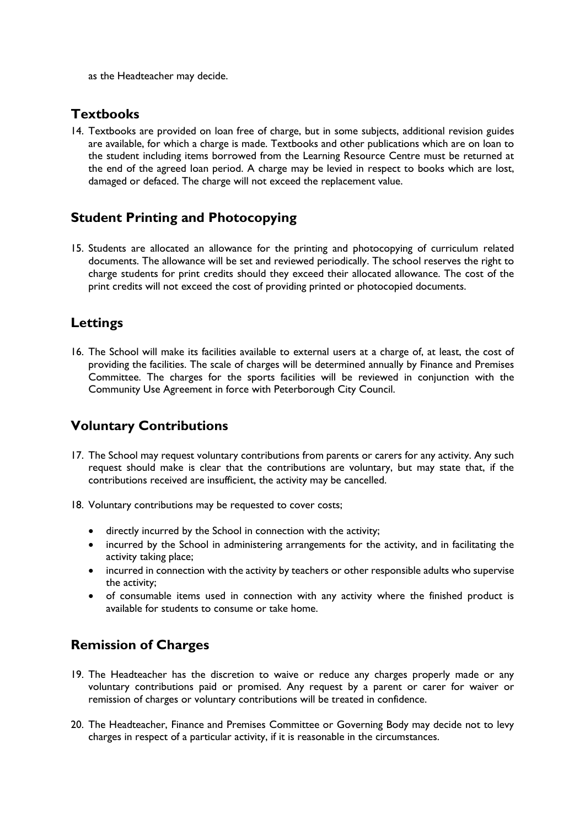as the Headteacher may decide.

#### **Textbooks**

14. Textbooks are provided on loan free of charge, but in some subjects, additional revision guides are available, for which a charge is made. Textbooks and other publications which are on loan to the student including items borrowed from the Learning Resource Centre must be returned at the end of the agreed loan period. A charge may be levied in respect to books which are lost, damaged or defaced. The charge will not exceed the replacement value.

#### **Student Printing and Photocopying**

15. Students are allocated an allowance for the printing and photocopying of curriculum related documents. The allowance will be set and reviewed periodically. The school reserves the right to charge students for print credits should they exceed their allocated allowance. The cost of the print credits will not exceed the cost of providing printed or photocopied documents.

#### **Lettings**

16. The School will make its facilities available to external users at a charge of, at least, the cost of providing the facilities. The scale of charges will be determined annually by Finance and Premises Committee. The charges for the sports facilities will be reviewed in conjunction with the Community Use Agreement in force with Peterborough City Council.

## **Voluntary Contributions**

- 17. The School may request voluntary contributions from parents or carers for any activity. Any such request should make is clear that the contributions are voluntary, but may state that, if the contributions received are insufficient, the activity may be cancelled.
- 18. Voluntary contributions may be requested to cover costs;
	- directly incurred by the School in connection with the activity;
	- incurred by the School in administering arrangements for the activity, and in facilitating the activity taking place;
	- incurred in connection with the activity by teachers or other responsible adults who supervise the activity;
	- of consumable items used in connection with any activity where the finished product is available for students to consume or take home.

## **Remission of Charges**

- 19. The Headteacher has the discretion to waive or reduce any charges properly made or any voluntary contributions paid or promised. Any request by a parent or carer for waiver or remission of charges or voluntary contributions will be treated in confidence.
- 20. The Headteacher, Finance and Premises Committee or Governing Body may decide not to levy charges in respect of a particular activity, if it is reasonable in the circumstances.